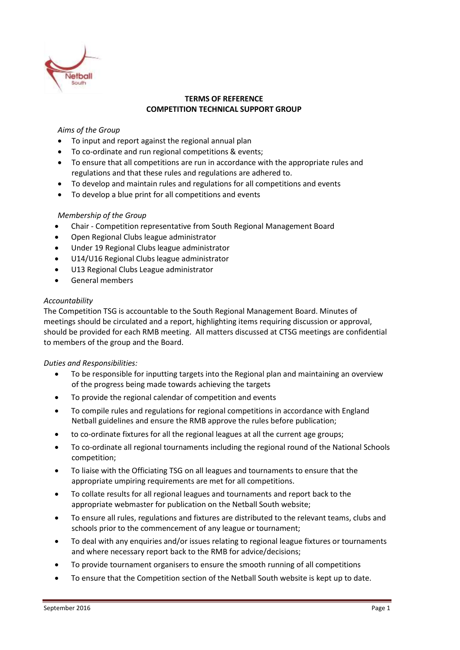

# **TERMS OF REFERENCE COMPETITION TECHNICAL SUPPORT GROUP**

# *Aims of the Group*

- To input and report against the regional annual plan
- To co-ordinate and run regional competitions & events;
- To ensure that all competitions are run in accordance with the appropriate rules and regulations and that these rules and regulations are adhered to.
- To develop and maintain rules and regulations for all competitions and events
- To develop a blue print for all competitions and events

## *Membership of the Group*

- Chair Competition representative from South Regional Management Board
- Open Regional Clubs league administrator
- Under 19 Regional Clubs league administrator
- U14/U16 Regional Clubs league administrator
- U13 Regional Clubs League administrator
- General members

## *Accountability*

The Competition TSG is accountable to the South Regional Management Board. Minutes of meetings should be circulated and a report, highlighting items requiring discussion or approval, should be provided for each RMB meeting. All matters discussed at CTSG meetings are confidential to members of the group and the Board.

## *Duties and Responsibilities:*

- To be responsible for inputting targets into the Regional plan and maintaining an overview of the progress being made towards achieving the targets
- To provide the regional calendar of competition and events
- To compile rules and regulations for regional competitions in accordance with England Netball guidelines and ensure the RMB approve the rules before publication;
- to co-ordinate fixtures for all the regional leagues at all the current age groups;
- To co-ordinate all regional tournaments including the regional round of the National Schools competition;
- To liaise with the Officiating TSG on all leagues and tournaments to ensure that the appropriate umpiring requirements are met for all competitions.
- To collate results for all regional leagues and tournaments and report back to the appropriate webmaster for publication on the Netball South website;
- To ensure all rules, regulations and fixtures are distributed to the relevant teams, clubs and schools prior to the commencement of any league or tournament;
- To deal with any enquiries and/or issues relating to regional league fixtures or tournaments and where necessary report back to the RMB for advice/decisions;
- To provide tournament organisers to ensure the smooth running of all competitions
- To ensure that the Competition section of the Netball South website is kept up to date.